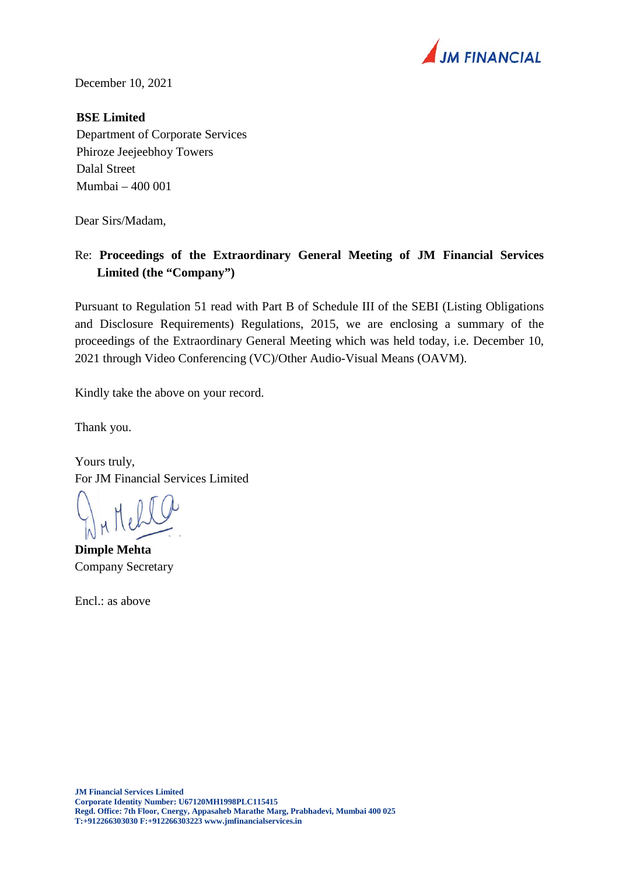

December 10, 2021

## **BSE Limited**

Department of Corporate Services Phiroze Jeejeebhoy Towers Dalal Street Mumbai – 400 001

Dear Sirs/Madam,

## Re: **Proceedings of the Extraordinary General Meeting of JM Financial Services Limited (the "Company")**

Pursuant to Regulation 51 read with Part B of Schedule III of the SEBI (Listing Obligations and Disclosure Requirements) Regulations, 2015, we are enclosing a summary of the proceedings of the Extraordinary General Meeting which was held today, i.e. December 10, 2021 through Video Conferencing (VC)/Other Audio-Visual Means (OAVM).

Kindly take the above on your record.

Thank you.

Yours truly, For JM Financial Services Limited

**Dimple Mehta**  Company Secretary

Encl.: as above